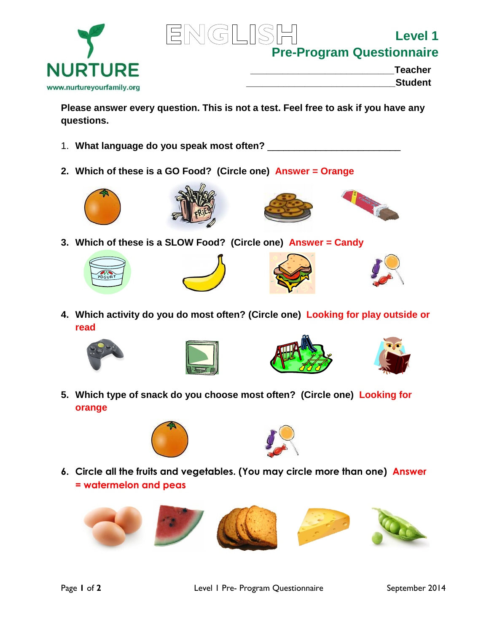



**Level 1 Pre-Program Questionnaire**

| <b>Teacher</b> |
|----------------|
| <b>Student</b> |

**Please answer every question. This is not a test. Feel free to ask if you have any questions.**

- 1. **What language do you speak most often?** \_\_\_\_\_\_\_\_\_\_\_\_\_\_\_\_\_\_\_\_\_\_\_\_\_
- **2. Which of these is a GO Food? (Circle one) Answer = Orange**









**3. Which of these is a SLOW Food? (Circle one) Answer = Candy**









**4. Which activity do you do most often? (Circle one) Looking for play outside or read**









**5. Which type of snack do you choose most often? (Circle one) Looking for orange**





**6. Circle all the fruits and vegetables. (You may circle more than one) Answer = watermelon and peas**